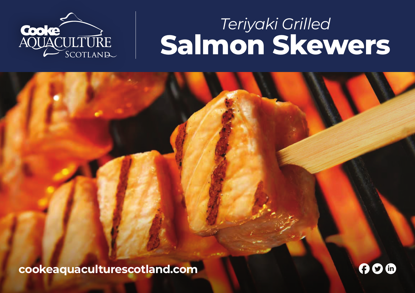

## *Teriyaki Grilled*  **Salmon Skewers**

**cookeaquaculturescotland.com** FTL